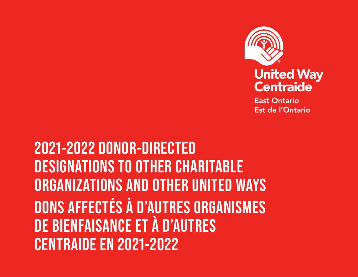

**East Ontario** Est de l'Ontario

**2021-2022 DONOR-DIRECTED DESIGNATIONS TO OTHER CHARITABLE ORGANIZATIONS AND OTHER UNITED WAYS DONS AFFECTÉS À D'AUTRES ORGANISMES DE BIENFAISANCE ET À D'AUTRES CENTRAIDE EN 2021-2022**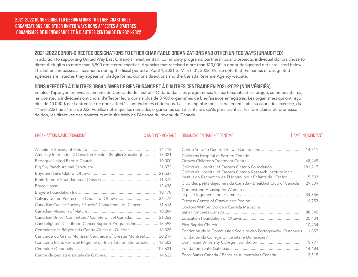### 2021-2022 DONOR-DIRECTED DESIGNATIONS TO OTHER CHARITABLE ORGANIZATIONS AND OTHER UNITED WAYS (UNAUDITED)

**2019-2020 GRANTS AND TARGETED**  This list encompasses all payments during the fiscal period of April 1, 2021 to March 31, 2022. Please note that the names of designated **COMMUNITY INVESTMENTS** agencies are listed as they appear on pledge forms, donor's directions and the Canada Revenue Agency website. In addition to supporting United Way East Ontario's investments in community programs, partnerships and projects, individual donors chose to direct their gifts to more than 3,900 registered charities. Agencies that received more than \$10,000 in donor designated gifts are listed below.

# DONS AFFECTÉS À D'AUTRES ORGANISMES DE BIENFAISANCE ET À D'AUTRES CENTRAIDE EN 2021-2022 (NON VÉRIFIÉS)

**COMMUNAUTAIRES CIBLÉS 2019-2020** En plus d'appuyer les investissements de Centraide de l'Est de l'Ontario dans les programmes, les partenariats et les projets communautaires, les donateurs individuels ont choisi d'affecter leurs dons à plus de 3 900 organismes de bienfaisance enregistrés. Les organismes qui ont reçu plus de 10 000 \$ par l'entremise de dons affectés sont indiqués ci-dessous. La liste englobe tous les paiements faits au cours de l'exercice, du 1<sup>er</sup> avril 2021 au 31 mars 2022. Veuillez noter que les noms des organismes sont inscrits tels qu'ils paraissent sur les formulaires de promesse de don, les directives des donateurs et le site Web de l'Agence du revenu du Canada.

### ORGANIZATION NAME/ORGANISME \$ AMOUNT/MONTANT ORGANIZATION NAME/ORGANISME \$ AMOUNT/MONTANT

|                                                                          | 14,419 |
|--------------------------------------------------------------------------|--------|
| Amnesty International Canadian Section (English Speaking)<br>13,021      |        |
| 10,000                                                                   |        |
| 21,372                                                                   |        |
| 29,537                                                                   |        |
| 11,372                                                                   |        |
| 12,436                                                                   |        |
| 10,170                                                                   |        |
| 36,474                                                                   |        |
| 11,616<br>Canadian Cancer Society / Société Canadienne du Cancer         |        |
| 10,284                                                                   |        |
| 21,262<br>Canadian Unicef Committee / Comite Unicef Canada               |        |
| Candlelighters Childhood Cancer Support Programs Inc.<br>13,598          |        |
| Centraide des Régions du Centre-Ouest du Québec<br>14,325                |        |
| Centraide du Grand Montreal Centraide of Greater Montreal<br>20,214      |        |
| Centraide Estrie (Conseil Régional de Bien-Être de Sherbrooke)<br>12,502 |        |
| 107,631                                                                  |        |
| 14,622                                                                   |        |

| Childrens Hospital of Eastern Ontario -                                                                              |         |
|----------------------------------------------------------------------------------------------------------------------|---------|
|                                                                                                                      | 48,449  |
| Children's Hospital of Eastern Ontario Foundation<br>Children's Hospital of Eastern Ontario Research Institute Inc./ | 181,217 |
| Institut de Recherche de l'Hopital pour Enfants de l'Est Inc.                                                        | 15,533  |
| Club des petits déjeuners du Canada - Breakfast Club of Canada                                                       | 29,809  |
| Cornerstone Housing for Women /                                                                                      |         |
|                                                                                                                      | 34,356  |
|                                                                                                                      | 16,753  |
| Doctors Without Borders Canada Medecins                                                                              |         |
|                                                                                                                      | 88,345  |
|                                                                                                                      | 20,404  |
|                                                                                                                      | 10,434  |
| Fondation de la Commission Scolaire des Portages-de-l'Outaouais                                                      | 11,857  |
| Fondation du Collège Universitaire Dominicain/                                                                       |         |
|                                                                                                                      | 15,791  |
|                                                                                                                      | 14,484  |
| Food Banks Canada / Banques Alimentaires Canada                                                                      | 13,515  |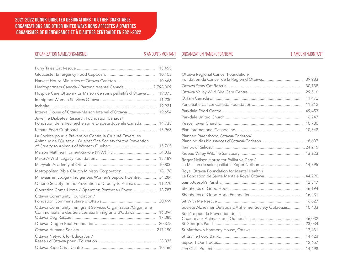### **2021-2022 DONOR-DIRECTED DESIGNATIONS TO OTHER CHARITABLE ORGANIZATIONS AND OTHER UNITED WAYS DONS AFFECTÉS À D'AUTRES ORGANISMES DE BIENFAISANCE ET À D'AUTRES CENTRAIDE EN 2021-2022**

### ORGANIZATION NAME/ORGANISME **\$** AMOUNT/MONTANT ORGANIZATION NAME/ORGANISME

|                                |                                                                                                                           | 13,455           |
|--------------------------------|---------------------------------------------------------------------------------------------------------------------------|------------------|
|                                |                                                                                                                           | 10,103           |
|                                |                                                                                                                           | 10,666           |
|                                | Healthpartners Canada / Partenairesanté Canada  2,798,009                                                                 |                  |
|                                | Hospice Care Ottawa / La Maison de soins palliatifs d'Ottawa                                                              | 19,073           |
|                                |                                                                                                                           | 11,230           |
|                                |                                                                                                                           | 19,921           |
|                                | Interval House of Ottawa-Maison Interval d'Ottawa                                                                         | 19,654           |
|                                | Juvenile Diabetes Research Foundation Canada/<br>Fondation de la Recherche sur le Diabete Juvenile Canada                 | 14,735           |
|                                |                                                                                                                           | 15,963           |
|                                | La Société pour la Prévention Contre la Cruauté Envers les<br>Animaux de l'Ouest du Québec/The Society for the Prevention | 15,765           |
|                                |                                                                                                                           | 34,332           |
|                                |                                                                                                                           | 18,189           |
|                                |                                                                                                                           | 10,800           |
|                                |                                                                                                                           | 18,178           |
|                                | Metropolitan Bible Church Ministry Corporation<br>Minwaashin Lodge - Indigenous Women's Support Centre                    | 34,284           |
|                                |                                                                                                                           |                  |
|                                | Ontario Society for the Prevention of Cruelty to Animals                                                                  | 11,270           |
|                                | Operation Come Home / Opération Rentrer au Foyer                                                                          | 18,787           |
| Ottawa Community Foundation /  |                                                                                                                           | 20,499           |
|                                | Ottawa Community Immigrant Services Organization/Organisme                                                                |                  |
|                                | Communautaire des Services aux Immigrants d'Ottawa                                                                        | 16,094<br>17,088 |
|                                |                                                                                                                           |                  |
|                                |                                                                                                                           | 20,375           |
|                                |                                                                                                                           |                  |
| Ottawa Network for Education / |                                                                                                                           |                  |
|                                |                                                                                                                           |                  |
|                                |                                                                                                                           |                  |

| Ottawa Regional Cancer Foundation/                      |        |
|---------------------------------------------------------|--------|
|                                                         | 39,983 |
|                                                         | 30,138 |
|                                                         | 29,516 |
|                                                         | 11,472 |
|                                                         | 11,212 |
|                                                         | 49,453 |
|                                                         | 16,247 |
|                                                         | 10,730 |
|                                                         | 10,548 |
| Planned Parenthood Ottawa-Carleton/                     |        |
|                                                         | 18,637 |
|                                                         |        |
|                                                         | 13,223 |
| Roger Neilson House for Palliative Care /               |        |
|                                                         | 14,795 |
| Royal Ottawa Foundation for Mental Health /             |        |
|                                                         |        |
|                                                         | 12,347 |
|                                                         | 46,194 |
|                                                         | 16,231 |
|                                                         | 16,627 |
| Société Alzheimer Outaouais/Alzheimer Society Outaouais | 10,403 |
| Société pour la Prévention de la                        |        |
|                                                         | 46,032 |
|                                                         | 23,034 |
|                                                         | 17,431 |
|                                                         | 14,423 |
|                                                         | 12,657 |
|                                                         | 14,498 |